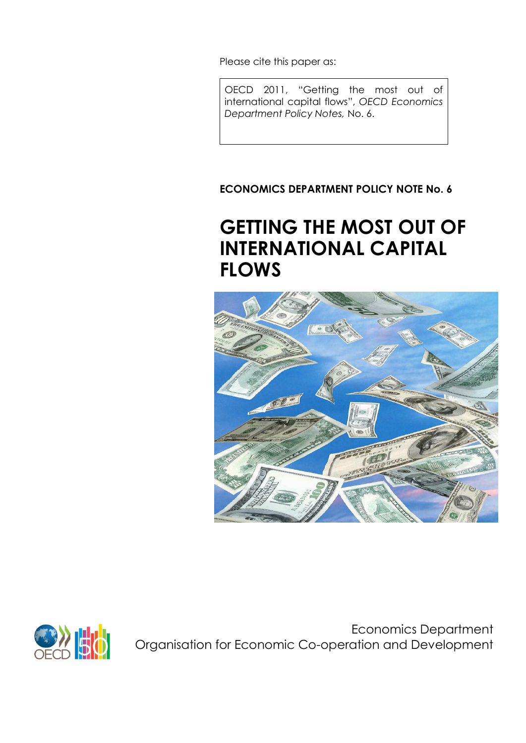Please cite this paper as:

OECD 2011, "Getting the most out of international capital flows", *OECD Economics Department Policy Notes,* No. 6.

**ECONOMICS DEPARTMENT POLICY NOTE No. 6**

# **GETTING THE MOST OUT OF INTERNATIONAL CAPITAL FLOWS**





Economics Department Organisation for Economic Co-operation and Development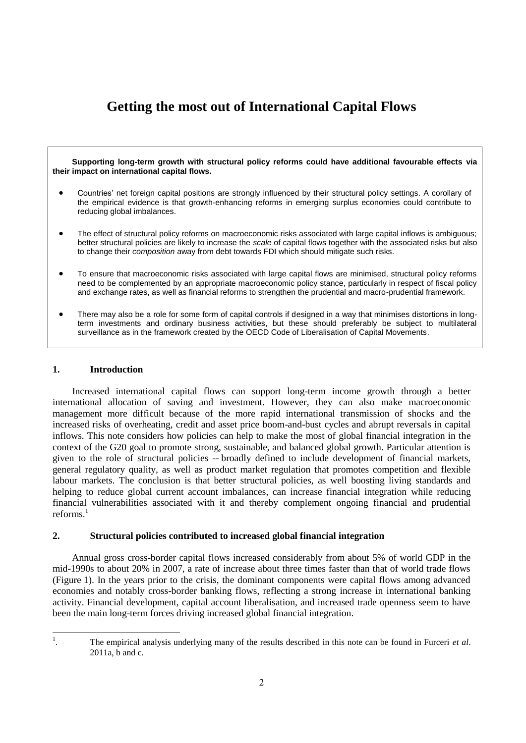## **Getting the most out of International Capital Flows**

**Supporting long-term growth with structural policy reforms could have additional favourable effects via their impact on international capital flows.** 

- Countries' net foreign capital positions are strongly influenced by their structural policy settings. A corollary of the empirical evidence is that growth-enhancing reforms in emerging surplus economies could contribute to reducing global imbalances.
- The effect of structural policy reforms on macroeconomic risks associated with large capital inflows is ambiguous; better structural policies are likely to increase the *scale* of capital flows together with the associated risks but also to change their *composition* away from debt towards FDI which should mitigate such risks.
- To ensure that macroeconomic risks associated with large capital flows are minimised, structural policy reforms need to be complemented by an appropriate macroeconomic policy stance, particularly in respect of fiscal policy and exchange rates, as well as financial reforms to strengthen the prudential and macro-prudential framework.
- There may also be a role for some form of capital controls if designed in a way that minimises distortions in longterm investments and ordinary business activities, but these should preferably be subject to multilateral surveillance as in the framework created by the OECD Code of Liberalisation of Capital Movements.

#### **1. Introduction**

Increased international capital flows can support long-term income growth through a better international allocation of saving and investment. However, they can also make macroeconomic management more difficult because of the more rapid international transmission of shocks and the increased risks of overheating, credit and asset price boom-and-bust cycles and abrupt reversals in capital inflows. This note considers how policies can help to make the most of global financial integration in the context of the G20 goal to promote strong, sustainable, and balanced global growth. Particular attention is given to the role of structural policies -- broadly defined to include development of financial markets, general regulatory quality, as well as product market regulation that promotes competition and flexible labour markets. The conclusion is that better structural policies, as well boosting living standards and helping to reduce global current account imbalances, can increase financial integration while reducing financial vulnerabilities associated with it and thereby complement ongoing financial and prudential reforms. $<sup>1</sup>$ </sup>

#### **2. Structural policies contributed to increased global financial integration**

Annual gross cross-border capital flows increased considerably from about 5% of world GDP in the mid-1990s to about 20% in 2007, a rate of increase about three times faster than that of world trade flows (Figure 1). In the years prior to the crisis, the dominant components were capital flows among advanced economies and notably cross-border banking flows, reflecting a strong increase in international banking activity. Financial development, capital account liberalisation, and increased trade openness seem to have been the main long-term forces driving increased global financial integration.

|<br>|<br>|

<sup>.</sup> The empirical analysis underlying many of the results described in this note can be found in Furceri *et al*. 2011a, b and c.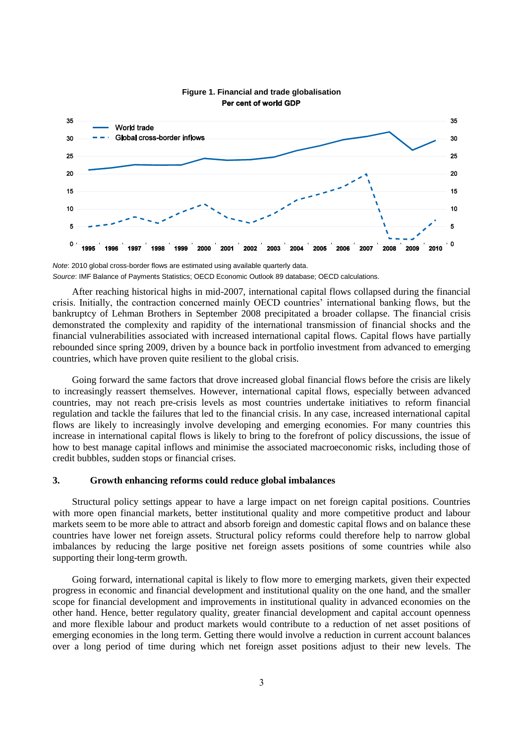

#### **Figure 1. Financial and trade globalisation** Per cent of world GDP

After reaching historical highs in mid-2007, international capital flows collapsed during the financial crisis. Initially, the contraction concerned mainly OECD countries' international banking flows, but the bankruptcy of Lehman Brothers in September 2008 precipitated a broader collapse. The financial crisis demonstrated the complexity and rapidity of the international transmission of financial shocks and the financial vulnerabilities associated with increased international capital flows. Capital flows have partially rebounded since spring 2009, driven by a bounce back in portfolio investment from advanced to emerging countries, which have proven quite resilient to the global crisis.

Going forward the same factors that drove increased global financial flows before the crisis are likely to increasingly reassert themselves. However, international capital flows, especially between advanced countries, may not reach pre-crisis levels as most countries undertake initiatives to reform financial regulation and tackle the failures that led to the financial crisis. In any case, increased international capital flows are likely to increasingly involve developing and emerging economies. For many countries this increase in international capital flows is likely to bring to the forefront of policy discussions, the issue of how to best manage capital inflows and minimise the associated macroeconomic risks, including those of credit bubbles, sudden stops or financial crises.

#### **3. Growth enhancing reforms could reduce global imbalances**

Structural policy settings appear to have a large impact on net foreign capital positions. Countries with more open financial markets, better institutional quality and more competitive product and labour markets seem to be more able to attract and absorb foreign and domestic capital flows and on balance these countries have lower net foreign assets. Structural policy reforms could therefore help to narrow global imbalances by reducing the large positive net foreign assets positions of some countries while also supporting their long-term growth.

Going forward, international capital is likely to flow more to emerging markets, given their expected progress in economic and financial development and institutional quality on the one hand, and the smaller scope for financial development and improvements in institutional quality in advanced economies on the other hand. Hence, better regulatory quality, greater financial development and capital account openness and more flexible labour and product markets would contribute to a reduction of net asset positions of emerging economies in the long term. Getting there would involve a reduction in current account balances over a long period of time during which net foreign asset positions adjust to their new levels. The

*Note*: 2010 global cross-border flows are estimated using available quarterly data. *Source*: IMF Balance of Payments Statistics; OECD Economic Outlook 89 database; OECD calculations.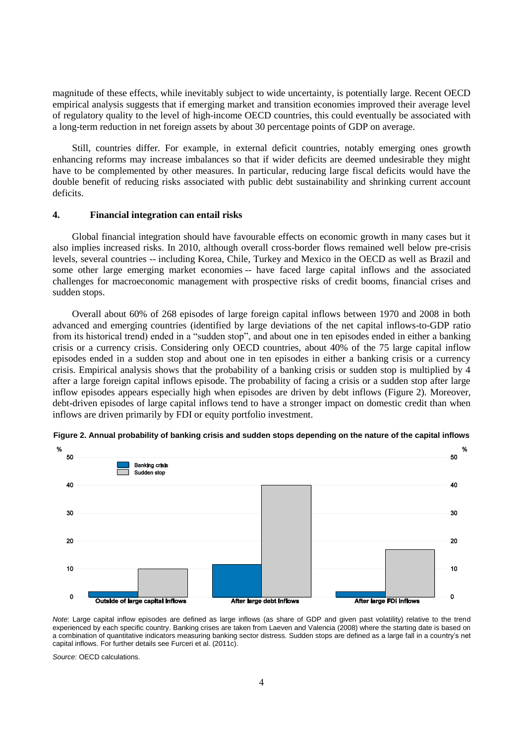magnitude of these effects, while inevitably subject to wide uncertainty, is potentially large. Recent OECD empirical analysis suggests that if emerging market and transition economies improved their average level of regulatory quality to the level of high-income OECD countries, this could eventually be associated with a long-term reduction in net foreign assets by about 30 percentage points of GDP on average.

Still, countries differ. For example, in external deficit countries, notably emerging ones growth enhancing reforms may increase imbalances so that if wider deficits are deemed undesirable they might have to be complemented by other measures. In particular, reducing large fiscal deficits would have the double benefit of reducing risks associated with public debt sustainability and shrinking current account deficits.

#### **4. Financial integration can entail risks**

Global financial integration should have favourable effects on economic growth in many cases but it also implies increased risks. In 2010, although overall cross-border flows remained well below pre-crisis levels, several countries -- including Korea, Chile, Turkey and Mexico in the OECD as well as Brazil and some other large emerging market economies -- have faced large capital inflows and the associated challenges for macroeconomic management with prospective risks of credit booms, financial crises and sudden stops.

Overall about 60% of 268 episodes of large foreign capital inflows between 1970 and 2008 in both advanced and emerging countries (identified by large deviations of the net capital inflows-to-GDP ratio from its historical trend) ended in a "sudden stop", and about one in ten episodes ended in either a banking crisis or a currency crisis. Considering only OECD countries, about 40% of the 75 large capital inflow episodes ended in a sudden stop and about one in ten episodes in either a banking crisis or a currency crisis. Empirical analysis shows that the probability of a banking crisis or sudden stop is multiplied by 4 after a large foreign capital inflows episode. The probability of facing a crisis or a sudden stop after large inflow episodes appears especially high when episodes are driven by debt inflows (Figure 2). Moreover, debt-driven episodes of large capital inflows tend to have a stronger impact on domestic credit than when inflows are driven primarily by FDI or equity portfolio investment.



**Figure 2. Annual probability of banking crisis and sudden stops depending on the nature of the capital inflows**

*Note*: Large capital inflow episodes are defined as large inflows (as share of GDP and given past volatility) relative to the trend experienced by each specific country. Banking crises are taken from Laeven and Valencia (2008) where the starting date is based on a combination of quantitative indicators measuring banking sector distress. Sudden stops are defined as a large fall in a country's net capital inflows. For further details see Furceri et al. (2011c).

*Source*: OECD calculations.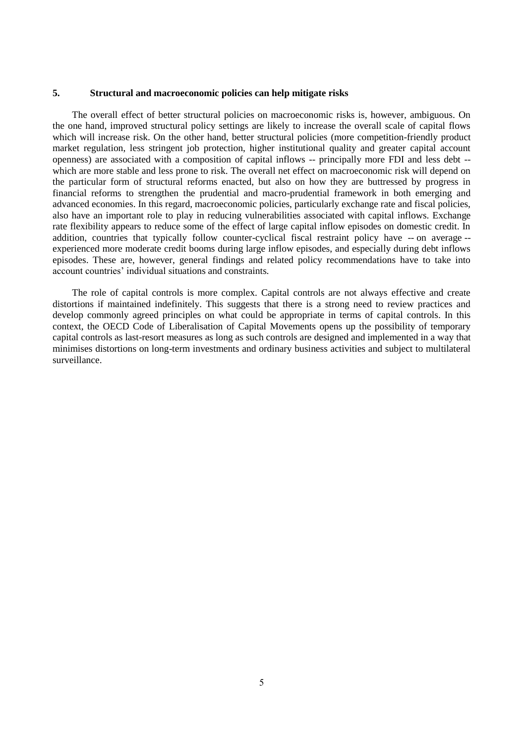#### **5. Structural and macroeconomic policies can help mitigate risks**

The overall effect of better structural policies on macroeconomic risks is, however, ambiguous. On the one hand, improved structural policy settings are likely to increase the overall scale of capital flows which will increase risk. On the other hand, better structural policies (more competition-friendly product market regulation, less stringent job protection, higher institutional quality and greater capital account openness) are associated with a composition of capital inflows -- principally more FDI and less debt - which are more stable and less prone to risk. The overall net effect on macroeconomic risk will depend on the particular form of structural reforms enacted, but also on how they are buttressed by progress in financial reforms to strengthen the prudential and macro-prudential framework in both emerging and advanced economies. In this regard, macroeconomic policies, particularly exchange rate and fiscal policies, also have an important role to play in reducing vulnerabilities associated with capital inflows. Exchange rate flexibility appears to reduce some of the effect of large capital inflow episodes on domestic credit. In addition, countries that typically follow counter-cyclical fiscal restraint policy have -- on average - experienced more moderate credit booms during large inflow episodes, and especially during debt inflows episodes. These are, however, general findings and related policy recommendations have to take into account countries' individual situations and constraints.

The role of capital controls is more complex. Capital controls are not always effective and create distortions if maintained indefinitely. This suggests that there is a strong need to review practices and develop commonly agreed principles on what could be appropriate in terms of capital controls. In this context, the OECD Code of Liberalisation of Capital Movements opens up the possibility of temporary capital controls as last-resort measures as long as such controls are designed and implemented in a way that minimises distortions on long-term investments and ordinary business activities and subject to multilateral surveillance.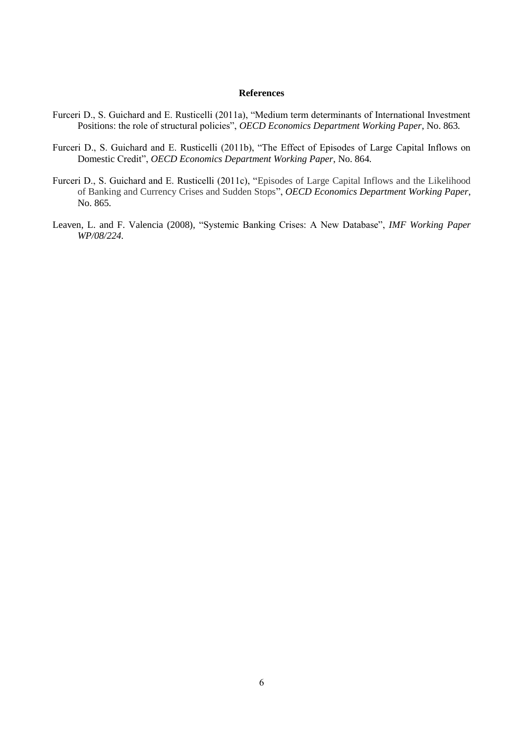#### **References**

- Furceri D., S. Guichard and E. Rusticelli (2011a), "Medium term determinants of International Investment Positions: the role of structural policies", *OECD Economics Department Working Paper*, No. 863*.*
- Furceri D., S. Guichard and E. Rusticelli (2011b), "The Effect of Episodes of Large Capital Inflows on Domestic Credit", *OECD Economics Department Working Paper*, No. 864*.*
- Furceri D., S. Guichard and E. Rusticelli (2011c), "Episodes of Large Capital Inflows and the Likelihood of Banking and Currency Crises and Sudden Stops", *OECD Economics Department Working Paper*, No. 865*.*
- Leaven, L. and F. Valencia (2008), "Systemic Banking Crises: A New Database", *IMF Working Paper WP/08/224.*